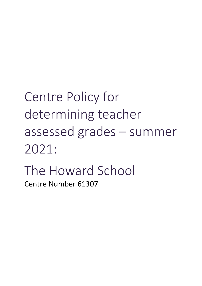Centre Policy for determining teacher assessed grades – summer 2021: The Howard School Centre Number 61307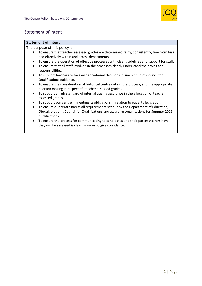

## Statement of intent

### **Statement of Intent**

.

The purpose of this policy is:

- To ensure that teacher assessed grades are determined fairly, consistently, free from bias and effectively within and across departments.
- To ensure the operation of effective processes with clear guidelines and support for staff.
- To ensure that all staff involved in the processes clearly understand their roles and responsibilities.
- To support teachers to take evidence-based decisions in line with Joint Council for Qualifications guidance.
- To ensure the consideration of historical centre data in the process, and the appropriate decision making in respect of, teacher assessed grades.
- To support a high standard of internal quality assurance in the allocation of teacher assessed grades.
- To support our centre in meeting its obligations in relation to equality legislation.
- To ensure our centre meets all requirements set out by the Department of Education, Ofqual, the Joint Council for Qualifications and awarding organisations for Summer 2021 qualifications.
- To ensure the process for communicating to candidates and their parents/carers how they will be assessed is clear, in order to give confidence.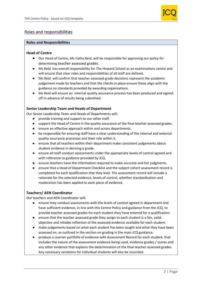

## Roles and responsibilities

### **Roles and Responsibilities**

### **Head of Centre**

- Our Head of Centre, Ms Cathy Reid, will be responsible for approving our policy for determining teacher assessed grades.
- Ms Reid has overall responsibility for The Howard School as an examinations centre and will ensure that clear roles and responsibilities of all staff are defined.
- Ms Reid will confirm that teacher assessed grade decisions represent the academic judgement made by teachers and that the checks in place ensure these align with the guidance on standards provided by awarding organisations.
- Ms Reid will ensure an internal quality assurance process has been produced and signedoff in advance of results being submitted.

### **Senior Leadership Team and Heads of Department**

Our Senior Leadership Team and Heads of Departments will:

- provide training and support to our other staff.
- support the Head of Centre in the quality assurance of the final teacher assessed grades.
- ensure an effective approach within and across departments.
- be responsible for ensuring staff have a clear understanding of the internal and external quality assurance processes and their role within it.
- ensure that all teachers within their department make consistent judgements about student evidence in deriving a grade.
- ensure all staff conduct assessments under the appropriate levels of control agreed and with reference to guidance provided by JCQ.
- ensure teachers have the information required to make accurate and fair judgments.
- ensure that a Head of Department Checklist and the subject cohort assessment record is completed for each qualification that they lead. The assessment record will include a rationale for the selected evidence, levels of control, whether standardisation and moderation has been applied to each piece of evidence.

### **Teachers/ AEN Coordinator**

Our teachers and AEN Coordinator will:

- ensure they conduct assessments with the levels of control agreed in department and have sufficient evidence, in line with this Centre Policy and guidance from the JCQ, to provide teacher assessed grades for each student they have entered for a qualification.
- ensure that the teacher assessed grade they assign to each student is a fair, valid, objective and reliable reflection of the assessed evidence available for each student.
- make judgements based on what each student has been taught and what they have been assessed on, as outlined in the section on grading in the main JCQ guidance**.**
- produce a Learner portfolio of evidence with Assessment Record for each student, that includes the nature of the assessment evidence being used, evidence grades / scores and any other evidence that explains the determination of the final teacher assessed grades. Any necessary variations for individual students will also be recorded.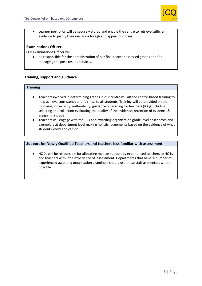

● Learner portfolios will be securely stored and enable the centre to retrieve sufficient evidence to justify their decisions for QA and appeal purposes.

### **Examinations Officer**

Our Examinations Officer will:

● be responsible for the administration of our final teacher assessed grades and for managing the post-results services.

### **Training, support and guidance**

### **Training**

- Teachers involved in determining grades in our centre will attend centre-based training to help achieve consistency and fairness to all students. Training will be provided on the following; objectivity; authenticity; guidance on grading for teachers (JCQ) including selecting and collection evaluating the quality of the evidence, retention of evidence & assigning a grade.
- Teachers will engage with the JCQ and awarding organisation grade level descriptors and exemplars at department level making holistic judgements based on the evidence of what students know and can do.

### **Support for Newly Qualified Teachers and teachers less familiar with assessment**

● HODs will be responsible for allocating mentor support by experienced teachers to NQTs and teachers with little experience of assessment. Departments that have a number of experienced awarding organisation examiners should use these staff as mentors where possible.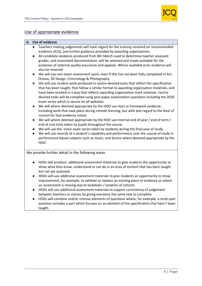

## Use of appropriate evidence

### **A. Use of evidence**

- Teachers making judgements will have regard for the training received on recommended evidence (JCQ), and further guidance provided by awarding organisations.
- All candidate evidence produced from 8th March used to determine teacher assessed grades, and associated documentation, will be retained and made available for the purposes of external quality assurance and appeals. Where available prior evidence will also be retained
- We will use non-exam assessment work, even if this has not been fully completed in Art, Drama, 3D Design, Criminology & Photography.
- We will use student work produced in centre-devised tasks that reflect the specification that has been taught, that follow a similar format to awarding organisation materials, and have been marked in a way that reflects awarding organisation mark schemes. Centre devised tasks will be compiled using past paper examination questions including the 2020 exam series which is secure on all websites.
- We will where deemed appropriate by the HOD use class or homework evidence, including work that took place during remote learning, but with due regard to the level of control for that evidence noted.
- We will where deemed appropriate by the HOD use internal end of year / end of term / end of unit tests taken by pupils throughout the course
- We will use the mock exam series taken by students during the final year of study.
- We will use records of a student's capability and performance over the course of study in performance-based subjects such as music, and drama where deemed appropriate by the HOD.

We provide further detail in the following areas:

- HODs will produce additional assessment materials to give students the opportunity to show what they know, understand or can do in an area of content that has been taught but not yet assessed.
- HODs will use additional assessment materials to give students an opportunity to show improvement, for example, to validate or replace an existing piece of evidence or where an assessment is missing due to lockdown / isolation of cohorts.
- HODs will use additional assessment materials to support consistency of judgement between teachers or classes by giving everyone the same task to complete.
- HODs will combine and/or remove elements of questions where, for example, a multi-part question includes a part which focuses on an element of the specification that hasn't been taught.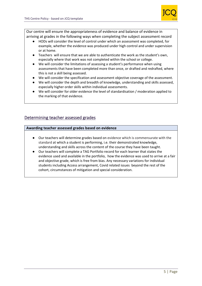

Our centre will ensure the appropriateness of evidence and balance of evidence in arriving at grades in the following ways when completing the subject assessment record

- HODs will consider the level of control under which an assessment was completed, for example, whether the evidence was produced under high control and under supervision or at home.
- Teachers will ensure that we are able to authenticate the work as the student's own, especially where that work was not completed within the school or college.
- We will consider the limitations of assessing a student's performance when using assessments that have been completed more than once, or drafted and redrafted, where this is not a skill being assessed.
- We will consider the specification and assessment objective coverage of the assessment.
- We will consider the depth and breadth of knowledge, understanding and skills assessed, especially higher order skills within individual assessments.
- We will consider for older evidence the level of standardisation / moderation applied to the marking of that evidence.

## Determining teacher assessed grades

### **Awarding teacher assessed grades based on evidence**

- Our teachers will determine grades based on evidence which is commensurate with the standard at which a student is performing, i.e. their demonstrated knowledge, understanding and skills across the content of the course they have been taught.
- Our teachers will complete a TAG Portfolio record for each learner that states the evidence used and available in the portfolio, how the evidence was used to arrive at a fair and objective grade, which is free from bias. Any necessary variations for individual students including Access arrangement, Covid related issues beyond the rest of the cohort, circumstances of mitigation and special consideration.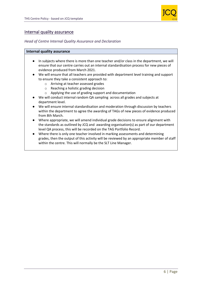

### Internal quality assurance

### *Head of Centre Internal Quality Assurance and Declaration*

### **Internal quality assurance**

- In subjects where there is more than one teacher and/or class in the department, we will ensure that our centre carries out an internal standardisation process for new pieces of evidence produced from March 2021.
- We will ensure that all teachers are provided with department level training and support to ensure they take a consistent approach to:
	- o Arriving at teacher assessed grades
	- o Reaching a holistic grading decision
	- o Applying the use of grading support and documentation
- We will conduct internal random QA sampling across all grades and subjects at department level.
- We will ensure internal standardisation and moderation through discussion by teachers within the department to agree the awarding of TAGs of new pieces of evidence produced from 8th March.
- Where appropriate, we will amend individual grade decisions to ensure alignment with the standards as outlined by JCQ and awarding organisation(s) as part of our department level QA process, this will be recorded on the TAG Portfolio Record.
- Where there is only one teacher involved in marking assessments and determining grades, then the output of this activity will be reviewed by an appropriate member of staff within the centre. This will normally be the SLT Line Manager.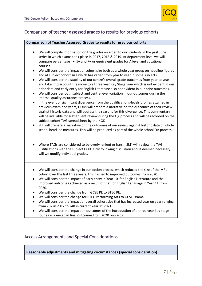

## Comparison of teacher assessed grades to results for previous cohorts

### **Comparison of Teacher Assessed Grades to results for previous cohorts**

- We will compile information on the grades awarded to our students in the past June series in which exams took place in 2017, 2018 & 2019. At department level we will compare percentage 4+, 5+ and 7+ or equivalent grades for A level and vocational courses.
- We will consider the impact of cohort size both as a whole year group on headline figures and at subject cohort size which has varied from year to year in some subjects.
- We will consider the stability of our centre's overall grade outcomes from year to year and take into account the move to a three year Key Stage Four which is not evident in our prior data and early entry for English Literature also not evident in our prior outcomes.
- We will consider both subject and centre level variation in our outcomes during the internal quality assurance process.
- In the event of significant divergence from the qualifications-levels profiles attained in previous examined years, HODs will prepare a narrative on the outcomes of their review against historic data and will address the reasons for this divergence. This commentary will be available for subsequent review during the QA process and will be recorded on the subject cohort TAG spreadsheet by the HOD.
- SLT will prepare a narrative on the outcomes of our review against historic data of whole school headline measures. This will be produced as part of the whole school QA process.
- Where TAGs are considered to be overly lenient or harsh, SLT will review the TAG justifications with the subject HOD. Only following discussion and if deemed necessary will we modify individual grades.
- We will consider the change in our option process which reduced the size of the MFL cohort over the last three years, this has led to improved outcomes from 2020.
- We will consider the impact of early entry in Year 10 for English Literature and the improved outcomes achieved as a result of that for English Language in Year 11 from 2020.
- We will consider the change from GCSE PE to BTEC PE.
- We will consider the change for BTEC Performing Arts to GCSE Drama.
- We will consider the impact of overall cohort size that has increased year on year ranging from 202 in 2017 to 248 in current Year 11 2021
- We will consider the impact on outcomes of the introduction of a three year key stage four as evidenced in final outcomes from 2020 onwards.

## Access Arrangements and Special Considerations

**Reasonable adjustments and mitigating circumstances (special consideration)**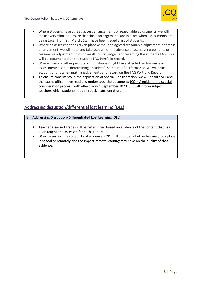.



- Where students have agreed access arrangements or reasonable adjustments, we will make every effort to ensure that these arrangements are in place when assessments are being taken from 8th March. Staff have been issued a list of students.
- Where an assessment has taken place without an agreed reasonable adjustment or access arrangement, we will note and take account of the absence of access arrangements or reasonable adjustment to our overall holistic judgement regarding the students TAG. This will be documented on the student TAG Portfolio record.
- Where illness or other personal circumstances might have affected performance in assessments used in determining a student's standard of performance, we will take account of this when making judgements and record on the TAG Portfolio Record.
- To ensure consistency in the application of Special Consideration, we will ensure SLT and the exams officer have read and understood the document:  $JCQ - A$  guide to the special [consideration process, with effect from 1 September 2020.](https://www.jcq.org.uk/wp-content/uploads/2020/08/A-guide-to-the-spec-con-process-202021-Website-version.pdf) SLT will inform subject teachers which students require special consideration.

# Addressing disruption/differential lost learning (DLL)

### B. **Addressing Disruption/Differentiated Lost Learning (DLL)**

- Teacher assessed grades will be determined based on evidence of the content that has been taught and assessed for each student.
- When assessing the suitability of evidence HODs will consider whether learning took place in school or remotely and the impact remote learning may have on the quality of that evidence.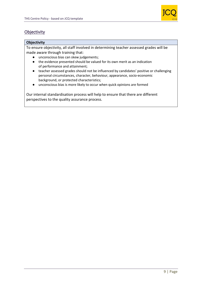

# **Objectivity**

### **Objectivity**

To ensure objectivity, all staff involved in determining teacher assessed grades will be made aware through training that:

- unconscious bias can skew judgements;
- the evidence presented should be valued for its own merit as an indication of performance and attainment;
- teacher assessed grades should not be influenced by candidates' positive or challenging personal circumstances, character, behaviour, appearance, socio-economic background, or protected characteristics;
- unconscious bias is more likely to occur when quick opinions are formed

Our internal standardisation process will help to ensure that there are different perspectives to the quality assurance process*.*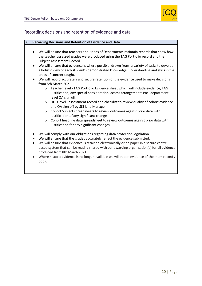.



## Recording decisions and retention of evidence and data

### **C. Recording Decisions and Retention of Evidence and Data**

- We will ensure that teachers and Heads of Departments maintain records that show how the teacher assessed grades were produced using the TAG Portfolio record and the Subject Assessment Record.
- We will ensure that evidence is where possible, drawn from a variety of tasks to develop a holistic view of each student's demonstrated knowledge, understanding and skills in the areas of content taught.
- We will record accurately and secure retention of the evidence used to make decisions from 8th March 2021
	- o Teacher level TAG Portfolio Evidence sheet which will include evidence, TAG justification, any special consideration, access arrangements etc, department level QA sign off.
	- o HOD level assessment record and checklist to review quality of cohort evidence and QA sign off by SLT Line Manager
	- o Cohort Subject spreadsheets to review outcomes against prior data with justification of any significant changes
	- $\circ$  Cohort headline data spreadsheet to review outcomes against prior data with justification for any significant changes,
- We will comply with our obligations regarding data protection legislation.
- We will ensure that the grades accurately reflect the evidence submitted.
- We will ensure that evidence is retained electronically or on paper in a secure centrebased system that can be readily shared with our awarding organisation(s) for all evidence produced from 8th March 2021.
- Where historic evidence is no longer available we will retain evidence of the mark record / book.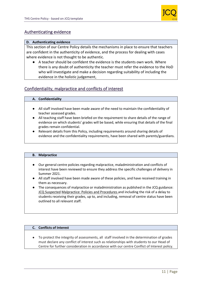

## Authenticating evidence

### **D. Authenticating evidence**

This section of our Centre Policy details the mechanisms in place to ensure that teachers are confident in the authenticity of evidence, and the process for dealing with cases where evidence is not thought to be authentic.

● A teacher should be confident the evidence is the students own work. Where there is any doubt of authenticity the teacher must refer the evidence to the HoD who will investigate and make a decision regarding suitability of including the evidence in the holistic judgement,

## Confidentiality, malpractice and conflicts of interest

### **A. Confidentiality**

- All staff involved have been made aware of the need to maintain the confidentiality of teacher assessed grades.
- All teaching staff have been briefed on the requirement to share details of the range of evidence on which students' grades will be based, while ensuring that details of the final grades remain confidential.
- Relevant details from this Policy, including requirements around sharing details of evidence and the confidentiality requirements, have been shared with parents/guardians.

### **B. Malpractice**

- Our general centre policies regarding malpractice, maladministration and conflicts of interest have been reviewed to ensure they address the specific challenges of delivery in Summer 2021.
- All staff involved have been made aware of these policies, and have received training in them as necessary.
- The consequences of malpractice or maladministration as published in the JCQ guidance: [JCQ Suspected](https://www.jcq.org.uk/exams-office/malpractice/jcq-suspected-malpractice-policies-and-procedures-2019-2020) Malpractice: Policies and Procedures and including the risk of a delay to students receiving their grades, up to, and including, removal of centre status have been outlined to all relevant staff.

### **C. Conflicts of Interest**

● To protect the integrity of assessments, all staff involved in the determination of grades must declare any conflict of interest such as relationships with students to our Head of Centre for further consideration in accordance with our centre Conflict of Interest policy.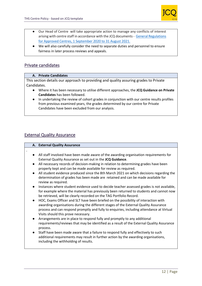

- Our Head of Centre will take appropriate action to manage any conflicts of interest arising with centre staff in accordance with the JCQ documents - [General Regulations](https://www.jcq.org.uk/wp-content/uploads/2020/09/Gen_regs_approved_centres_20-21_FINAL.pdf)  [for Approved Centres, 1 September 2020 to 31 August 2021.](https://www.jcq.org.uk/wp-content/uploads/2020/09/Gen_regs_approved_centres_20-21_FINAL.pdf)
- We will also carefully consider the need to separate duties and personnel to ensure fairness in later process reviews and appeals.

## Private candidates

### **A. Private Candidates**

This section details our approach to providing and quality assuring grades to Private Candidates.

- Where it has been necessary to utilise different approaches, the **JCQ Guidance on Private Candidates** has been followed.
- In undertaking the review of cohort grades in conjunction with our centre results profiles from previous examined years, the grades determined by our centre for Private Candidates have been excluded from our analysis.

## External Quality Assurance

|           | A. External Quality Assurance                                                                                                                                                                                                                                                                                  |
|-----------|----------------------------------------------------------------------------------------------------------------------------------------------------------------------------------------------------------------------------------------------------------------------------------------------------------------|
|           |                                                                                                                                                                                                                                                                                                                |
|           | All staff involved have been made aware of the awarding organisation requirements for<br>External Quality Assurance as set out in the JCQ Guidance.                                                                                                                                                            |
| $\bullet$ | All necessary records of decision-making in relation to determining grades have been<br>properly kept and can be made available for review as required.                                                                                                                                                        |
| $\bullet$ | All student evidence produced since the 8th March 2021 on which decisions regarding the<br>determination of grades has been made are retained and can be made available for<br>review as required.                                                                                                             |
| $\bullet$ | Instances where student evidence used to decide teacher assessed grades is not available,<br>for example where the material has previously been returned to students and cannot now<br>be retrieved, will be clearly recorded on the TAG Portfolio Record.                                                     |
| $\bullet$ | HOC, Exams Officer and SLT have been briefed on the possibility of interaction with<br>awarding organisations during the different stages of the External Quality Assurance<br>process and can respond promptly and fully to enquiries, including attendance at Virtual<br>Visits should this prove necessary. |
| $\bullet$ | Arrangements are in place to respond fully and promptly to any additional<br>requirements/reviews that may be identified as a result of the External Quality Assurance<br>process.                                                                                                                             |
| $\bullet$ | Staff have been made aware that a failure to respond fully and effectively to such<br>additional requirements may result in further action by the awarding organisations,<br>including the withholding of results.                                                                                             |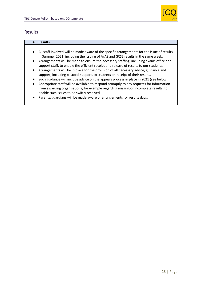

## Results

### **A. Results**

- All staff involved will be made aware of the specific arrangements for the issue of results in Summer 2021, including the issuing of A/AS and GCSE results in the same week.
- Arrangements will be made to ensure the necessary staffing, including exams office and support staff, to enable the efficient receipt and release of results to our students.
- Arrangements will be in place for the provision of all necessary advice, guidance and support, including pastoral support, to students on receipt of their results.
- Such guidance will include advice on the appeals process in place in 2021 (see below).
- Appropriate staff will be available to respond promptly to any requests for information from awarding organisations, for example regarding missing or incomplete results, to enable such issues to be swiftly resolved.
- Parents/guardians will be made aware of arrangements for results days.